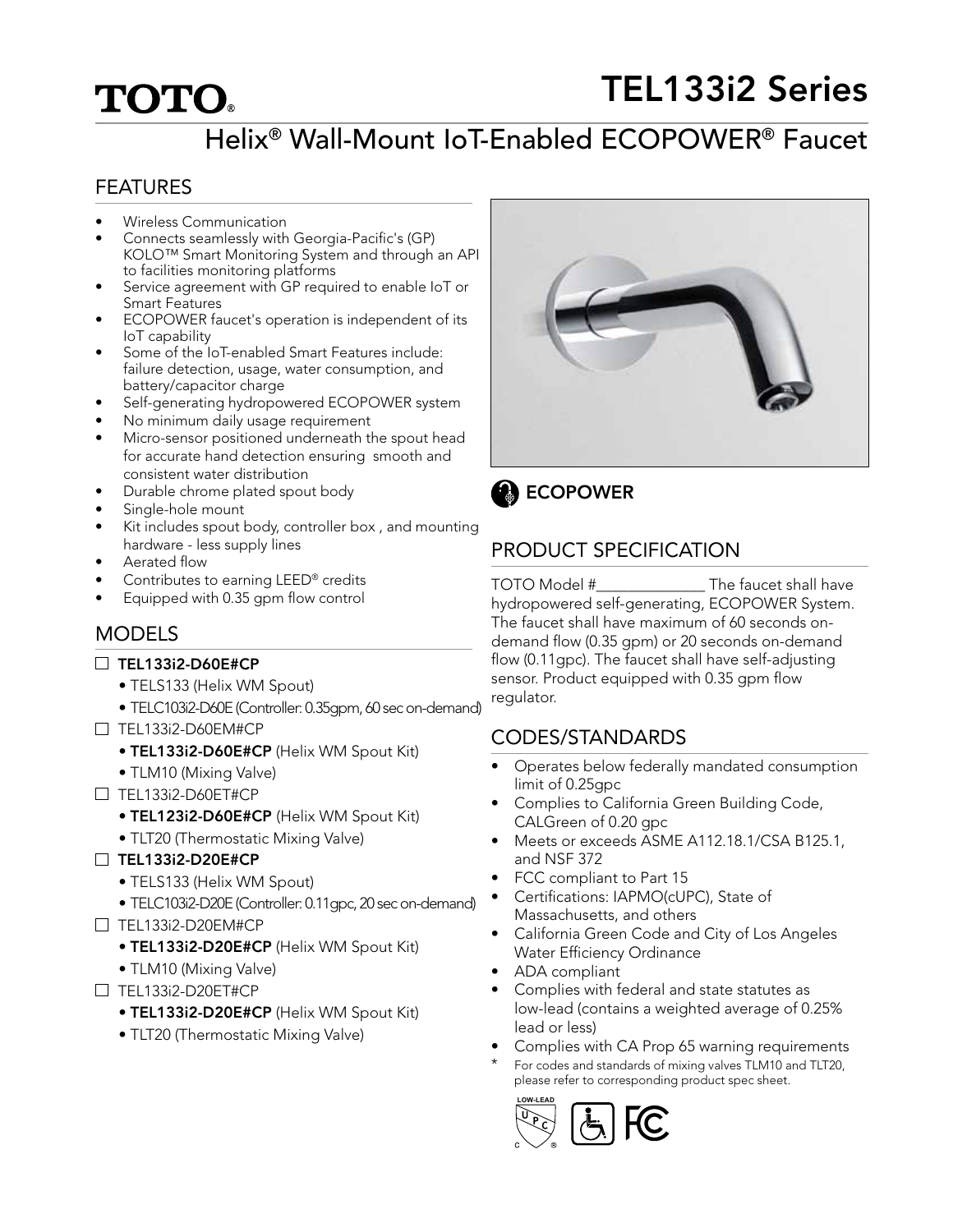# TEL133i2 Series

# Helix® Wall-Mount IoT-Enabled ECOPOWER® Faucet

#### FEATURES

**TOTO.** 

- Wireless Communication
- Connects seamlessly with Georgia-Pacific's (GP) KOLO™ Smart Monitoring System and through an API to facilities monitoring platforms
- Service agreement with GP required to enable IoT or Smart Features
- ECOPOWER faucet's operation is independent of its IoT capability
- Some of the IoT-enabled Smart Features include: failure detection, usage, water consumption, and battery/capacitor charge
- Self-generating hydropowered ECOPOWER system
- No minimum daily usage requirement
- Micro-sensor positioned underneath the spout head for accurate hand detection ensuring smooth and consistent water distribution
- Durable chrome plated spout body
- Single-hole mount
- Kit includes spout body, controller box , and mounting hardware - less supply lines
- Aerated flow
- Contributes to earning LEED® credits
- Equipped with 0.35 gpm flow control

## **MODELS**

#### $\Box$  TEL133i2-D60E#CP

- TELS133 (Helix WM Spout)
- TELC103i2-D60E (Controller: 0.35gpm, 60 sec on-demand)
- $\Box$  TEL133i2-D60EM#CP
	- TEL133i2-D60E#CP (Helix WM Spout Kit)
	- TLM10 (Mixing Valve)
- $\Box$  TEL133i2-D60ET#CP
	- TEL123i2-D60E#CP (Helix WM Spout Kit)
	- TLT20 (Thermostatic Mixing Valve)
- $\Box$  TEL133i2-D20E#CP
	- TELS133 (Helix WM Spout)
	- TELC103i2-D20E (Controller: 0.11gpc, 20 sec on-demand)
- $\Box$  TEL133i2-D20EM#CP
	- TEL133i2-D20E#CP (Helix WM Spout Kit)
	- TLM10 (Mixing Valve)
- $\Box$  TEL133i2-D20ET#CP
	- TEL133i2-D20E#CP (Helix WM Spout Kit)
	- TLT20 (Thermostatic Mixing Valve)



**B** ECOPOWER

# PRODUCT SPECIFICATION

TOTO Model #\_\_\_\_\_\_\_\_\_\_\_\_\_\_ The faucet shall have hydropowered self-generating, ECOPOWER System. The faucet shall have maximum of 60 seconds ondemand flow (0.35 gpm) or 20 seconds on-demand flow (0.11gpc). The faucet shall have self-adjusting sensor. Product equipped with 0.35 gpm flow regulator.

## CODES/STANDARDS

- Operates below federally mandated consumption limit of 0.25gpc
- Complies to California Green Building Code, CALGreen of 0.20 gpc
- Meets or exceeds ASME A112.18.1/CSA B125.1, and NSF 372
- FCC compliant to Part 15
- Certifications: IAPMO(cUPC), State of Massachusetts, and others
- California Green Code and City of Los Angeles Water Efficiency Ordinance
- ADA compliant
- Complies with federal and state statutes as low-lead (contains a weighted average of 0.25% lead or less)
- Complies with CA Prop 65 warning requirements
- For codes and standards of mixing valves TLM10 and TLT20, please refer to corresponding product spec sheet.